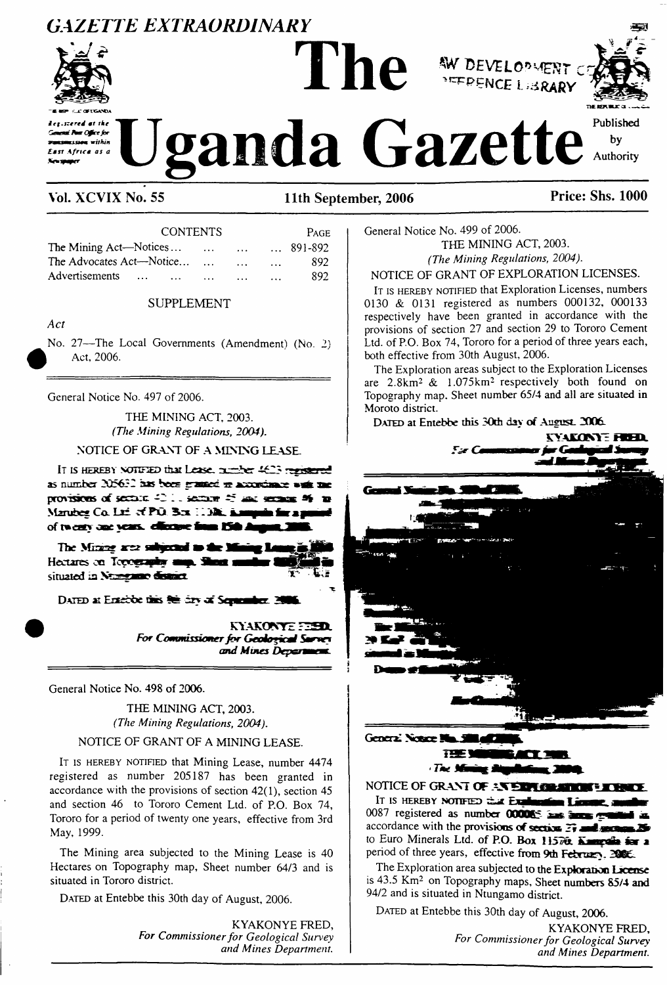## *GAZETTE EXTRAORDINARY*







**Weanda** Gazette

#### **Vol. XCVIX No. 55 11th September, 2006 Price: Shs. 1000**

| <b>CONTENTS</b>            |              |          |  | <b>PAGE</b>      |
|----------------------------|--------------|----------|--|------------------|
| The Mining Act—Notices     | $\mathbf{r}$ | $\cdots$ |  | $\ldots$ 891-892 |
| The Advocates Act—Notice   | $\cdots$     | $\cdots$ |  | 892              |
| Advertisements<br>$\cdots$ | .            |          |  | 892              |

#### SUPPLEMENT

*Act*

No. 27—The Local Governments (Amendment) (No. 2) Act, 2006.

General Notice No. 497 of 2006.

THE MINING ACT, 2003. *(The Mining Regulations, 2004).*

**NOTICE OF GRANT OF A MINING LEASE.**

IT IS HEREBY NOTIFIED that Lease, number 4623 registered as number 205632 has been granted to accordance as provisions of section 42.11 section 45 and sections 46 Marubee Co. Ltd. of P.O. Box 11381. Kamunik for an of twenty one years, effective from 15th

The Minime area subjected to the Mi Hectares on Topography map. SI situated in Numgamo district.

**DATED** at Entebbe this  $\theta$  is first of Squamber. 3

KYAKONYE FEED. *For Commissioner for Geological Surver*<br>*and Mines Department.* 

General Notice No. 498 of 2006.

THE MINING ACT, 2003. *(The Mining Regulations, 2004).*

#### NOTICE OF GRANT OF A MINING LEASE.

IT IS HEREBY NOTIFIED that Mining Lease, number 4474 registered as number 205187 has been granted in accordance with the provisions of section 42(1), section 45 and section 46 to Tororo Cement Ltd. of P.O. Box 74, Tororo for a period of twenty one years, effective from 3rd May, 1999.

The Mining area subjected to the Mining Lease is 40 Hectares on Topography map, Sheet number 64/3 and is situated in Tororo district.

DATED at Entebbe this 30th day of August, 2006.

KYAKONYE FRED, *For Commissionerfor Geological Survey and Mines Department.* General Notice No. 499 of 2006. THE MINING ACT, 2003. *(The Mining Regulations, 2004).*

NOTICE OF GRANT OF EXPLORATION LICENSES.

It is HEREBY NOTIFIED that Exploration Licenses, numbers 0130 & 0131 registered as numbers 000132, 000133 respectively have been granted in accordance with the provisions of section 27 and section 29 to Tororo Cement Ltd. of P.O. Box 74, Tororo for a period of three years each, both effective from 30th August, 2006.

The Exploration areas subject to the Exploration Licenses are 2.8km<sup>2</sup> & 1.075km<sup>2</sup> respectively both found on Topography map. Sheet number 65/4 and all are situated in Moroto district.

DATED at Entebbe this 30th day of August. 2006.



General Nonce ! **TIME I** 

**Northern Manual Angelesium, 2004.**<br>NOTICE OF GRANT OF *residence and the series* 

**<sup>I</sup><sup>t</sup> is hereby notified Lbok. mét** <sup>0087</sup> registered **as number <sup>000065</sup> xat xs &** accordance with the provisions of section  $\mathbb{F}_7$ to Euro Minerals Ltd. of **P.O. Box <sup>1</sup> i57ui ^ííi » <sup>a</sup>** period of three years, effective from **9th <sup>F</sup>ebruary**

The Exploration area subjected to the **Exploration License** is 43.5 Km<sup>2</sup> on Topography maps, Sheet **numbers 85/4 and** 94/2 and is situated in Ntungamo district.

DATED at Entebbe this 30th day of August, 2006.

KYAKONYE FRED, *For Commissionerfor Geological Survey and Mines Department.*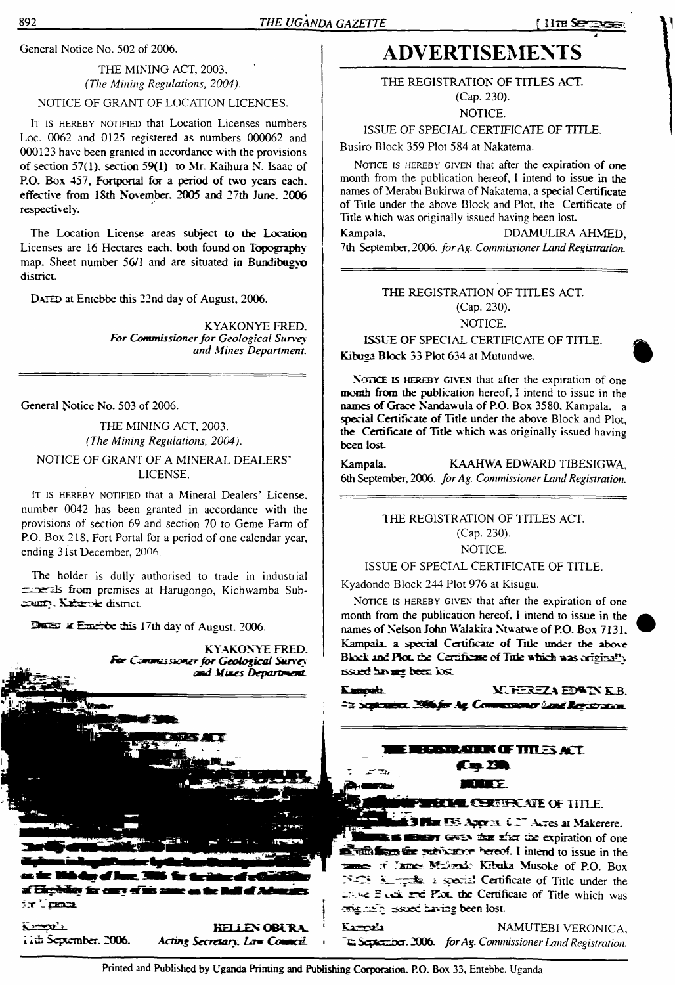#### THE MINING ACT, 2003. *(The Mining Regulations, 2004).* NOTICE OF GRANT OF LOCATION LICENCES.

IT IS HEREBY NOTIFIED that Location Licenses numbers Loc. 0062 and 0125 registered as numbers 000062 and 000123 have been granted in accordance with the provisions of section 57(1). section 59(1) to Mr. Kaihura N. Isaac of **P.O. Box 457, Fortportal for a period of two years each, effective from 18th November. 2005 and 27th June. 2006 respectively.**

The Location License areas subject **to** the **Location** Licenses are 16 Hectares each, both **found on Topography** map. Sheet number 56/1 and are situated in **Bundibugyn** district.

DATED at Entebbe this 22nd day of August, 2006.

**KYAKONYE FRED.** *For Commissionerfor Geological Survey and Mines Department.*

General Notice No. 503 of 2006.

THE MINING ACT, 2003. *(The Mining Regulations, 2004).*

#### *NOTICE OF* GRANT OF A MINERAL DEALERS' LICENSE.

IT IS HEREBY NOTIFIED that a Mineral Dealers' License, number 0042 has been granted in accordance with the provisions of section 69 and section 70 to Geme Farm of P.O. Box 218, Fort Portal for a period of one calendar year, ending 31st December, 2006.

The holder is dully authorised to trade in industrial perils from premises at Harugongo, Kichwamba Sub-

Decay at Emerge this 17th day of August. 2006.



Chineedo far catri ef ir Tradı

Kroel **th September. 2006.**

**HELLEN OBURA** Acting Secretary, Live Council.

## General Notice No. 502 of 2006. **ADVERTISEMENTS**

THE REGISTRATION OF TITLES **ACT.** (Cap. 230).

NOTICE.

ISSUE OF SPECIAL CERTIFICATE OF TITLE.

Busiro Block 359 Plot 584 at Nakatema.

NOTICE IS HEREBY GIVEN that after the expiration of one month from the publication hereof, I intend to issue in the names of Merabu Bukirwa of Nakatema. a special Certificate of Title under the above Block and Plot, the Certificate of Title which was originally issued having been lost.

Kampala, DDAMULIRA AHMED, 7th September, 2006. *forAg. Commissioner LandRegistration.*

#### THE REGISTRATION OF TITLES ACT. (Cap. 230). NOTICE.

**ISSUE OF** SPECIAL CERTIFICATE OF TITLE. Kibuga **Block** 33 Plot 634 at Mutundwe.

**NonCE is hereby given** that after the expiration of one momh from the publication hereof, I intend to issue in the **names ofGrace Nandawula of P.O. Box** 3580. Kampala, a **special Certificate of Title** under the **above** Block and Plot, **the Certificate of Title** which was originally issued having **been lost**

Kampala. KAAHWA EDWARD TIBESIGWA, 6th September, 2006. *forAg. Commissioner Land Registration.*

> THE REGISTRATION OF TITLES ACT. (Cap. 230).

NOTICE.

#### ISSUE OF SPECIAL CERTIFICATE OF TITLE.

Kyadondo Block 244 Plot 976 at Kisugu.

NOTICE IS HEREBY GIVEN that after the expiration of one month from the publication hereof, I intend to issue in the **names of Nelson John Walakira Ntwatwe of P.O. Box 7131. Kampala, a special Certificate of Title under the above**Block and Plot, the Certificate of Title which was originally issued having been lost.

**Kampaki XJEREZA EDWINKER** ta September, 2006 for Ag. Commissioner lians Registration.

### **BEATANDE OF TITLES ACT. Cm. 231 STATISTICS**

**ELLE CERTIFICATE OF TITLE.** 

**3 Flat 135 Approx U. C.** Acres at Makerere. **SUBSET GASH that after the expiration of one**  $\mathbb{Z}$  and  $\mathbb{Z}$  are subjected to expect. I intend to issue in the mes of Tames Millendo Kibuka Musoke of P.O. Box C\*. 2 special Certificate of Title under the *rable* **Planck and Planck the Certificate of Title which was** *mighting* **issued having been lost.** 

Karpala NAMUTEBI VERONICA, **"•& SepKxsoer. 2006.** *forAg. Commissioner Land Registration.*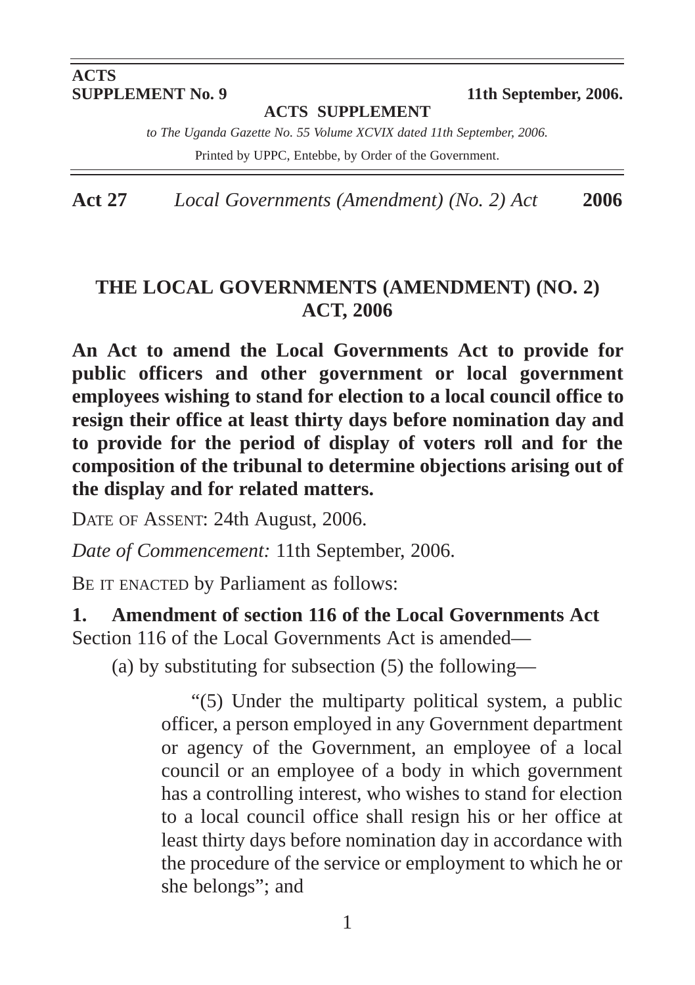# **ACTS<br>SUPPLEMENT No. 9**

**11th September, 2006.** 

**ACTS SUPPLEMENT**

*to The Uganda Gazette No. 55 Volume XCVIX dated 11th September, 2006.*

Printed by UPPC, Entebbe, by Order of the Government.

**Act 27** *Local Governments (Amendment) (No. 2) Act* **2006**

#### **THE LOCAL GOVERNMENTS (AMENDMENT) (NO. 2) ACT, 2006**

**An Act to amend the Local Governments Act to provide for public officers and other government or local government employees wishing to stand for election to a local council office to resign their office at least thirty days before nomination day and to provide for the period of display of voters roll and for the composition of the tribunal to determine objections arising out of the display and for related matters.**

DATE OF ASSENT: 24th August, 2006.

*Date of Commencement:* 11th September, 2006.

BE IT ENACTED by Parliament as follows:

**1. Amendment of section 116 of the Local Governments Act** Section 116 of the Local Governments Act is amended—

(a) by substituting for subsection (5) the following—

"(5) Under the multiparty political system, a public officer, a person employed in any Government department or agency of the Government, an employee of a local council or an employee of a body in which government has a controlling interest, who wishes to stand for election to a local council office shall resign his or her office at least thirty days before nomination day in accordance with the procedure of the service or employment to which he or she belongs"; and